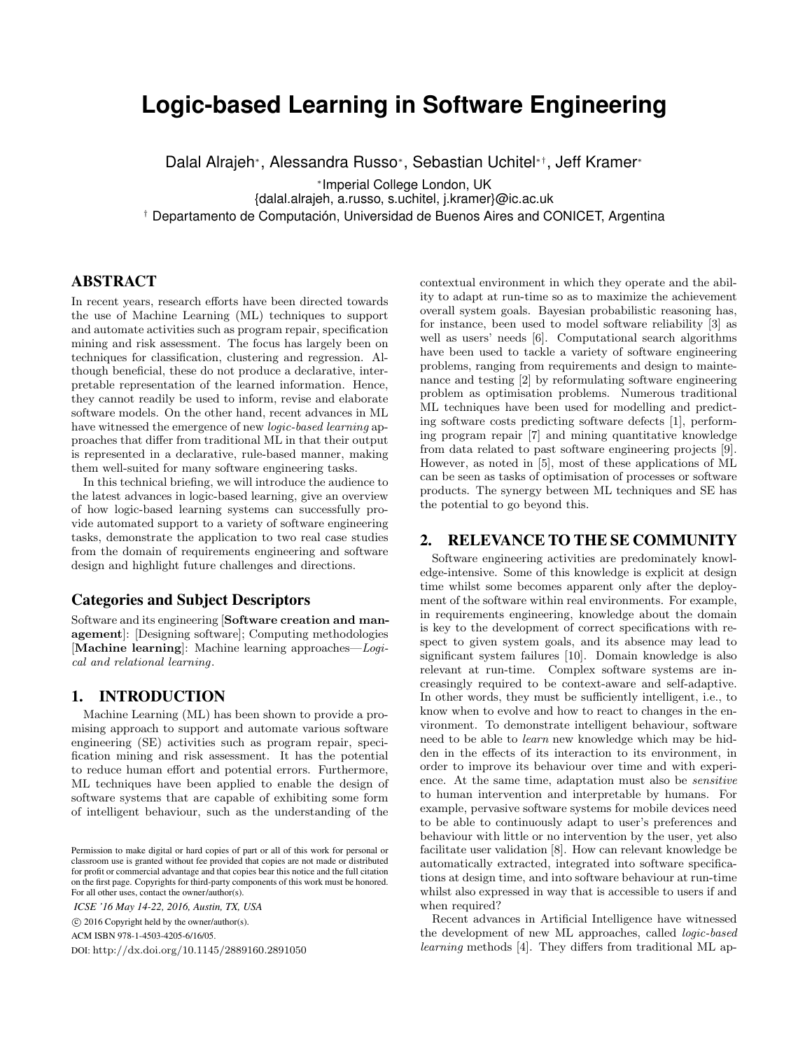# **Logic-based Learning in Software Engineering**

Dalal Alrajeh<sup>∗</sup> , Alessandra Russo<sup>∗</sup> , Sebastian Uchitel∗†, Jeff Kramer<sup>∗</sup>

∗ Imperial College London, UK

{dalal.alrajeh, a.russo, s.uchitel, j.kramer}@ic.ac.uk

† Departamento de Computación, Universidad de Buenos Aires and CONICET, Argentina

## ABSTRACT

In recent years, research efforts have been directed towards the use of Machine Learning (ML) techniques to support and automate activities such as program repair, specification mining and risk assessment. The focus has largely been on techniques for classification, clustering and regression. Although beneficial, these do not produce a declarative, interpretable representation of the learned information. Hence, they cannot readily be used to inform, revise and elaborate software models. On the other hand, recent advances in ML have witnessed the emergence of new *logic-based learning* approaches that differ from traditional ML in that their output is represented in a declarative, rule-based manner, making them well-suited for many software engineering tasks.

In this technical briefing, we will introduce the audience to the latest advances in logic-based learning, give an overview of how logic-based learning systems can successfully provide automated support to a variety of software engineering tasks, demonstrate the application to two real case studies from the domain of requirements engineering and software design and highlight future challenges and directions.

### Categories and Subject Descriptors

Software and its engineering [Software creation and management]: [Designing software]; Computing methodologies [Machine learning]: Machine learning approaches—Logical and relational learning.

### 1. INTRODUCTION

Machine Learning (ML) has been shown to provide a promising approach to support and automate various software engineering (SE) activities such as program repair, specification mining and risk assessment. It has the potential to reduce human effort and potential errors. Furthermore, ML techniques have been applied to enable the design of software systems that are capable of exhibiting some form of intelligent behaviour, such as the understanding of the

*ICSE '16 May 14-22, 2016, Austin, TX, USA* c 2016 Copyright held by the owner/author(s). ACM ISBN 978-1-4503-4205-6/16/05.

DOI: http://dx.doi.org/10.1145/2889160.2891050

contextual environment in which they operate and the ability to adapt at run-time so as to maximize the achievement overall system goals. Bayesian probabilistic reasoning has, for instance, been used to model software reliability [3] as well as users' needs [6]. Computational search algorithms have been used to tackle a variety of software engineering problems, ranging from requirements and design to maintenance and testing [2] by reformulating software engineering problem as optimisation problems. Numerous traditional ML techniques have been used for modelling and predicting software costs predicting software defects [1], performing program repair [7] and mining quantitative knowledge from data related to past software engineering projects [9]. However, as noted in [5], most of these applications of ML can be seen as tasks of optimisation of processes or software products. The synergy between ML techniques and SE has the potential to go beyond this.

#### 2. RELEVANCE TO THE SE COMMUNITY

Software engineering activities are predominately knowledge-intensive. Some of this knowledge is explicit at design time whilst some becomes apparent only after the deployment of the software within real environments. For example, in requirements engineering, knowledge about the domain is key to the development of correct specifications with respect to given system goals, and its absence may lead to significant system failures [10]. Domain knowledge is also relevant at run-time. Complex software systems are increasingly required to be context-aware and self-adaptive. In other words, they must be sufficiently intelligent, i.e., to know when to evolve and how to react to changes in the environment. To demonstrate intelligent behaviour, software need to be able to learn new knowledge which may be hidden in the effects of its interaction to its environment, in order to improve its behaviour over time and with experience. At the same time, adaptation must also be sensitive to human intervention and interpretable by humans. For example, pervasive software systems for mobile devices need to be able to continuously adapt to user's preferences and behaviour with little or no intervention by the user, yet also facilitate user validation [8]. How can relevant knowledge be automatically extracted, integrated into software specifications at design time, and into software behaviour at run-time whilst also expressed in way that is accessible to users if and when required?

Recent advances in Artificial Intelligence have witnessed the development of new ML approaches, called logic-based learning methods [4]. They differs from traditional ML ap-

Permission to make digital or hard copies of part or all of this work for personal or classroom use is granted without fee provided that copies are not made or distributed for profit or commercial advantage and that copies bear this notice and the full citation on the first page. Copyrights for third-party components of this work must be honored. For all other uses, contact the owner/author(s).